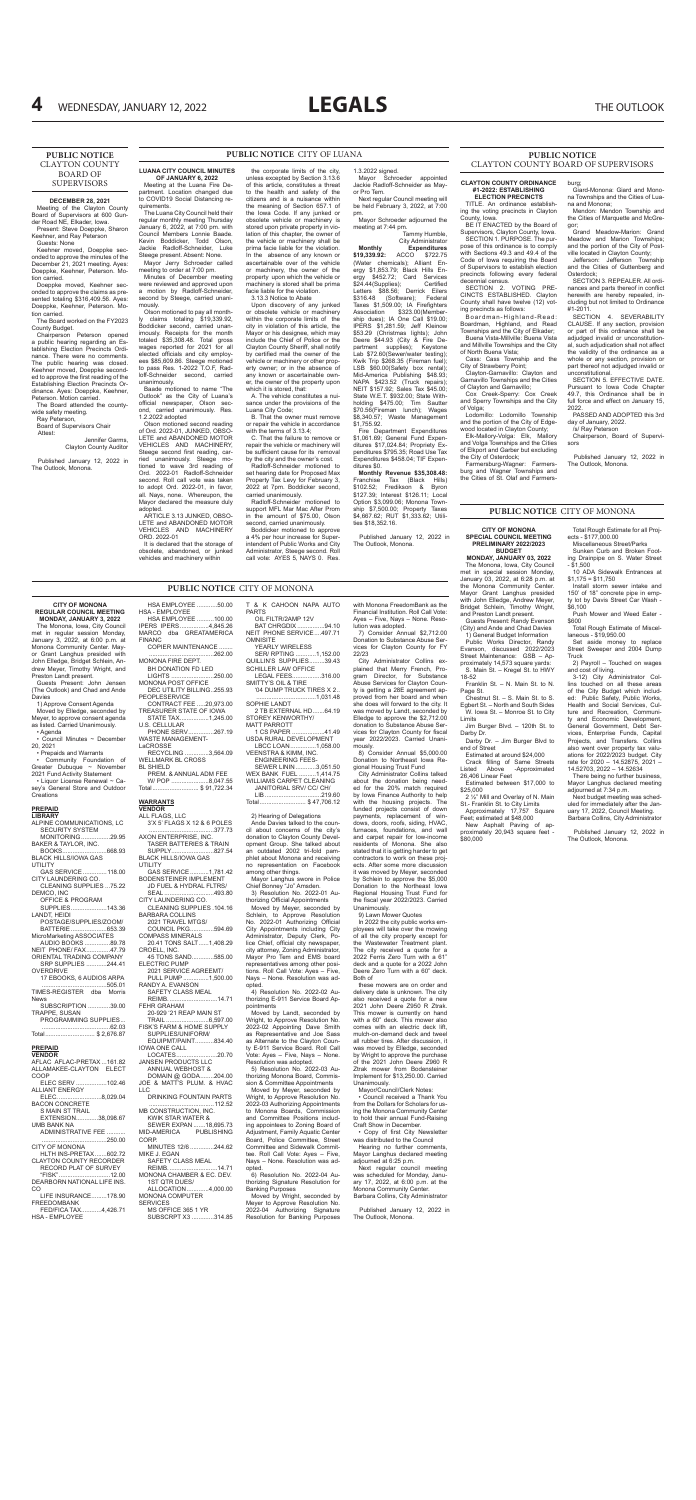**CITY OF MONONA REGULAR COUNCIL MEETING MONDAY, JANUARY 3, 2022** The Monona, Iowa, City Council met in regular session Monday, January 3, 2022, at 6:00 p.m. at Monona Community Center. May-

John Elledge, Bridget Schlein, Andrew Meyer, Timothy Wright, and Preston Landt present.

Guests Present: John Jensen (The Outlook) and Chad and Ande

Council Minutes  $\sim$  December

Davies

1) Approve Consent Agenda Moved by Elledge, seconded by Meyer, to approve consent agenda as listed. Carried Unanimously.

• Agenda

20, 2021

• Prepaids and Warrants • Community Foundation of Greater Dubuque ~ November 2021 Fund Activity Statement • Liquor License Renewal ~ Casey's General Store and Outdoor

| <b>PREPAID</b>              |  |
|-----------------------------|--|
| <b>LIBRARY</b>              |  |
| ALPINE COMMUNICATIONS, LC   |  |
| <b>SECURITY SYSTEM</b>      |  |
| MONITORING29.95             |  |
| BAKER & TAYLOR, INC.        |  |
| BOOKS668.93                 |  |
| <b>BLACK HILLS/IOWA GAS</b> |  |
| UTII ITY                    |  |
| GAS SERVICE 118.00          |  |
| CITY LAUNDERING CO.         |  |
| CLEANING SUPPLIES 75.22     |  |
| DEMCO. INC                  |  |
| <b>OFFICE &amp; PROGRAM</b> |  |
| SUPPLIES143.36              |  |
| LANDT, HEIDI                |  |
| POSTAGE/SUPPLIES/ZOOM/      |  |
| BATTERIE653.39              |  |
| MicroMarketing ASSOCIATES   |  |
| AUDIO BOOKS 89.78           |  |
| NEIT PHONE/ FAX47.79        |  |
| ORIENTAL TRADING COMPANY    |  |
| SRP SUPPLIES 244.41         |  |
| OVERDRIVE                   |  |
| 17 EBOOKS, 6 AUDIOS ARPA    |  |
| 505.01                      |  |
| TIMES-REGISTER dba Morris   |  |
|                             |  |

or Grant Langhus presided with HSA EMPLOYEE ............50.00 HSA - EMPLOYEE HSA EMPLOYEE ..........100.00 IPERS IPERS.................4,845.26 MARCO dba GREATAMERICA FINANC COPIER MAINTENANCE ........

| TIMES-REGISTER dba Morris |  |
|---------------------------|--|
| <b>News</b>               |  |
| SUBSCRIPTION 39.00        |  |
| TRAPPE, SUSAN             |  |
| PROGRAMMING SUPPLIES      |  |
|                           |  |
| Total \$ 2,676.87         |  |
|                           |  |

# **PREPAID**

| <b>VENDOR</b>                  |
|--------------------------------|
| AFLAC AFLAC-PRETAX  161.82     |
| ALLAMAKEE-CLAYTON ELECT        |
| COOP                           |
| ELEC SERV 102.46               |
| <b>ALLIANT ENERGY</b>          |
| ELEC8,029.04                   |
| <b>BACON CONCRETE</b>          |
| <b>S MAIN ST TRAIL</b>         |
| EXTENSION38,098.67             |
| <b>UMB BANK NA</b>             |
| ADMINISTRATIVE FEE             |
| 250.00                         |
| <b>CITY OF MONONA</b>          |
| HLTH INS-PRETAX602.72          |
| <b>CLAYTON COUNTY RECORDER</b> |
| RECORD PLAT OF SURVEY          |
| "FISK"………………………12.00           |
| DEARBORN NATIONAL LIFE INS.    |
| CO                             |
| LIFE INSURANCE178.90           |
| FREEDOMBANK                    |
| FED/FICA TAX4.426.71           |
| HSA - EMPLOYEE                 |
|                                |

SMITTY'S OIL & TIRE '04 DUMP TRUCK TIRES X 2.. ...1.031.48

......................................262.00 MONONA FIRE DEPT. BH DONATION FD LED

LIGHTS .........................250.00 MONONA POST OFFICE DEC UTILITY BILLING..255.93

PEOPLESERVICE CONTRACT FEE .....20,973.00 TREASURER STATE OF IOWA<br>STATE TAX................1.245.00 STATE TAX.................1,245.00 PHONE SERV...............267.19

U.S. CELLULAR

WASTE MANAGEMENT-LaCROSSE

RECYCLING ..............3,564.09

WELLMARK BL CROSS BL SHIELD

PREM. & ANNUAL ADM FEE W/ POP ......................8,047.55

Total........................... \$ 91,722.34

5) Resolution No. 2022-03 Authorizing Monona Board, Commission & Committee Appointments

6) Resolution No. 2022-04 Authorizing Signature Resolution for Banking Purposes

| <u>WARRANTS</u><br><b>VENDOR</b>                                         |
|--------------------------------------------------------------------------|
| ALL FLAGS, LLC<br>3'X 5' FLAGS X 12 & 6 POLES                            |
| 377.73<br>AXON ENTERPRISE, INC.<br><b>TASER BATTERIES &amp; TRAIN</b>    |
| SUPPLY827.54<br>BLACK HILLS/IOWA GAS                                     |
| <b>UTILITY</b><br>GAS SERVICE 1,781.42                                   |
| <b>BODENSTEINER IMPLEMENT</b><br>JD FUEL & HYDRAL FLTRS/                 |
| SEAL 493.80<br>CITY LAUNDERING CO.                                       |
| CLEANING SUPPLIES .104.16<br><b>BARBARA COLLINS</b><br>2021 TRAVEL MTGS/ |
| COUNCIL PKG594.69<br><b>COMPASS MINERALS</b>                             |
| 20.41 TONS SALT1,408.29<br>CROELL, INC.                                  |
| 45 TONS SAND585.00<br><b>ELECTRIC PUMP</b>                               |
| 2021 SERVICE AGREEMT/<br>PULL PUMP 1,500.00<br>RANDY A. EVANSON          |
| SAFETY CLASS MEAL<br>REIMB. 14.71                                        |
| <b>FEHR GRAHAM</b><br>20-929 '21 REAP MAIN ST                            |
| TRAIL 6,597.00<br>FISK'S FARM & HOME SUPPLY<br>SUPPLIES/UNIFORM/         |
| EQUIPMT/PAINT834.40<br><b>IOWA ONE CALL</b>                              |
| LOCATES20.70<br><b>JANSEN PRODUCTS LLC</b><br>ANNUAL WEBHOST &           |
| DOMAIN @ GODA204.00<br>JOE & MATT'S PLUM. & HVAC<br>LLC                  |
| DRINKING FOUNTAIN PARTS                                                  |
| MB CONSTRUCTION, INC.<br>KWIK STAR WATER &                               |
| SEWER EXPAN 18,695.73<br>MID-AMERICA PUBLISHING<br>CORP.                 |
| MINUTES 12/6 244.62<br>MIKE J. EGAN                                      |
| SAFETY CLASS MEAL<br>REIMB<br>14.71                                      |
| MONONA CHAMBER & EC. DEV.<br>1ST QTR DUES/                               |
| ALLOCATION4,000.00<br><b>MONONA COMPUTER</b>                             |
| <b>SERVICES</b><br>MS OFFICE 365 1 YR                                    |

City Administrator Collins explained that Merry French, Program Director, for Substance Abuse Services for Clayton County is getting a 28E agreement approved from her board and when she does will forward to the city. It was moved by Landt, seconded by Elledge to approve the \$2,712.00 donation to Substance Abuse Services for Clayton County for fiscal year 2022/2023. Carried Unani-

SUBSCRPT X3 .............314.85

T & K CAHOON NAPA AUTO PARTS OIL FILTR/2AMP 12V BAT CHRGDIX................94.10

NEIT PHONE SERVICE....497.71 **OMNISITE** YEARLY WIRELESS SER/ RPTING ............1,152.00

QUILLIN'S SUPPLIES.........39.43 SCHILLER LAW OFFICE LEGAL FEES.................316.00

> Hearing no further comments Mayor Langhus declared meeting adjourned at 6:25 p.m.

SOPHIE LANDT 2 TB EXTERNAL HD.......64.19 STOREY KENWORTHY/

MATT PARROTT

1 CS PAPER ...................41.49 USDA RURAL DEVELOPMENT LBCC LOAN...............1,058.00 VEENSTRA & KIMM, INC. ENGINEERING FEES-SEWER LININ............3,051.50

WILLIAMS CARPET CLEANING

JANITORIAL SRV/ CC/ CH/ LIB.................................219.60 Total........................... \$ 47,706.12

# 2) Hearing of Delegations

Ande Davies talked to the council about concerns of the city's donation to Clayton County Development Group. She talked about an outdated 2002 tri-fold pamphlet about Monona and receiving no representation on Facebook among other things.

Mayor Langhus swore in Police Chief Bonney "Jo" Amsden.

3) Resolution No. 2022-01 Authorizing Official Appointments

Moved by Meyer, seconded by Schlein, to Approve Resolution No. 2022-01 Authorizing Official City Appointments including City Administrator, Deputy Clerk, Police Chief, official city newspaper, city attorney, Zoning Administrator, Mayor Pro Tem and EMS board representatives among other positions. Roll Call Vote: Ayes – Five, Nays – None. Resolution was adopted.

4) Resolution No. 2022-02 Authorizing E-911 Service Board Appointments

Moved by Landt, seconded by Wright, to Approve Resolution No. 2022-02 Appointing Dave Smith as Representative and Joe Sass as Alternate to the Clayton County E-911 Service Board. Roll Call Vote: Ayes – Five, Nays – None. Resolution was adopted.

Moved by Meyer, seconded by Wright, to Approve Resolution No. 2022-03 Authorizing Appointments to Monona Boards, Commission and Committee Positions including appointees to Zoning Board of Adjustment, Family Aquatic Center Board, Police Committee, Street Committee and Sidewalk Committee. Roll Call Vote: Ayes – Five, Nays – None. Resolution was adopted.

Moved by Wright, seconded by Meyer to Approve Resolution No. 2022-04 Authorizing Signature Resolution for Banking Purposes with Monona FreedomBank as the Financial Institution. Roll Call Vote: Ayes – Five, Nays – None. Reso-

lution was adopted.

7) Consider Annual \$2,712.00 Donation to Substance Abuse Services for Clayton County for FY

22/23

mously.

8) Consider Annual \$5,000.00 Donation to Northeast Iowa Regional Housing Trust Fund City Administrator Collins talked about the donation being needed for the 20% match required

by Iowa Finance Authority to help with the housing projects. The funded projects consist of down payments, replacement of windows, doors, roofs, siding, HVAC, furnaces, foundations, and wall and carpet repair for low-income residents of Monona. She also stated that it is getting harder to get contractors to work on these projects. After some more discussion it was moved by Meyer, seconded by Schlein to approve the \$5,000 Donation to the Northeast Iowa Regional Housing Trust Fund for the fiscal year 2022/2023. Carried Unanimously.

Page St. Chestnut St. – S. Main St. to S. Egbert St. – North and South Sides

9) Lawn Mower Quotes

In 2022 the city public works employees will take over the mowing of all the city property except for the Wastewater Treatment plant. The city received a quote for a 2022 Ferris Zero Turn with a 61" deck and a quote for a 2022 John Deere Zero Turn with a 60" deck. Both of

10 ADA Sidewalk Entrances at  $$1,175 = $11,750$ 

Set aside money to replace Street Sweeper and 2004 Dump **Truck** 

these mowers are on order and delivery date is unknown. The city also received a quote for a new 2021 John Deere Z950 R Ztrak. This mower is currently on hand with a 60" deck. This mower also comes with an electric deck lift, mulch-on-demand deck and tweel all rubber tires. After discussion, it was moved by Elledge, seconded by Wright to approve the purchase of the 2021 John Deere Z960 R Ztrak mower from Bodensteiner Implement for \$13,250.00. Carried Unanimously.

Mayor/Council/Clerk Notes:

**ELECTION PRECINCTS** TITLE An ordinance establish-

• Council received a Thank You from the Dollars for Scholars for using the Monona Community Center to hold their annual Fund-Raising Craft Show in December.

• Copy of first City Newsletter was distributed to the Council

Next regular council meeting was scheduled for Monday, January 17, 2022, at 6:00 p.m. at the Monona Community Center. Barbara Collins, City Administrator

Published January 12, 2022 in The Outlook, Monona.

**PUBLIC NOTICE** CITY OF MONONA

WEX BANK FUEL

**Creations** 

# **PUBLIC NOTICE** CITY OF LUANA

# **LUANA CITY COUNCIL MINUTES OF JANUARY 6, 2022**

Meeting at the Luana Fire Department. Location changed due to COVID19 Social Distancing requirements. The Luana City Council held their

regular monthly meeting Thursday January 6, 2022, at 7:00 pm. with Council Members Lonnie Baade. Kevin Boddicker, Todd Olson, Jackie Radloff-Schneider, Luke Steege present. Absent: None.

Mayor Jerry Schroeder called meeting to order at 7:00 pm.

> SECTION 4. SEVERABILITY CLAUSE. If any section, provision or part of this ordinance shall be adjudged invalid or unconstitutional, such adjudication shall not affect the validity of the ordinance as a whole or any section, provision or part thereof not adjudged invalid or unconstitutional.

Minutes of December meeting were reviewed and approved upon a motion by Radloff-Schneider, second by Steege, carried unanimously.

> SECTION 5. EFFECTIVE DATE. Pursuant to Iowa Code Chapter 49.7, this Ordinance shall be in full force and effect on January 15, 2022. PASSED AND ADOPTED this 3rd

Olson motioned to pay all monthly claims totaling \$19,339.92, Boddicker second, carried unanimously. Receipts for the month totaled \$35,308.48. Total gross wages reported for 2021 for all elected officials and city employees \$85,609.86. Steege motioned to pass Res. 1-2022 T.O.F, Radloff-Schneider second, carried unanimously.

Baade motioned to name "The Outlook" as the City of Luana's official newspaper, Olson second, carried unanimously. Res. 1.2.2022 adopted

Olson motioned second reading of Ord. 2022-01, JUNKED, OBSO-LETE and ABANDONED MOTOR VEHICLES AND MACHINERY, Steege second first reading, carried unanimously. Steege motioned to wave 3rd reading of Ord. 2022-01 Radloff-Schneider second. Roll call vote was taken to adopt Ord. 2022-01, in favor, all. Nays, none. Whereupon, the Mayor declared the measure duly adopted.

ARTICLE 3.13 JUNKED, OBSO-LETE and ABANDONED MOTOR VEHICLES AND MACHINERY ORD. 2022-01

It is declared that the storage of obsolete, abandoned, or junked vehicles and machinery within

the corporate limits of the city, unless excepted by Section 3.13.6 of this article, constitutes a threat to the health and safety of the citizens and is a nuisance within the meaning of Section 657.1 of the Iowa Code. If any junked or obsolete vehicle or machinery is stored upon private property in violation of this chapter, the owner of the vehicle or machinery shall be prima facie liable for the violation. In the absence of any known or ascertainable over of the vehicle or machinery, the owner of the property upon which the vehicle or machinery is stored shall be prima facie liable for the violation. 3.13.3 Notice to Abate

Upon discovery of any junked or obsolete vehicle or machinery within the corporate limits of the city in violation of this article, the Mayor or his designee, which may include the Chief of Police or the Clayton County Sheriff, shall notify by certified mail the owner of the vehicle or machinery or other property owner; or in the absence of any known or ascertainable owner, the owner of the property upon which it is stored, that:

A. The vehicle constitutes a nuisance under the provisions of the Luana City Code;

B. That the owner must remove or repair the vehicle in accordance with the terms of 3.13.4;

C. That the failure to remove or repair the vehicle or machinery will be sufficient cause for its removal by the city and the owner's cost. Radloff-Schneider motioned to

set hearing date for Proposed Max Property Tax Levy for February 3, 2022 at 7pm. Boddicker second, carried unanimously.

Radloff-Schneider motioned to support MFL Mar Mac After Prom in the amount of \$75.00, Olson second, carried unanimously.

Boddicker motioned to approve a 4% per hour increase for Superintendent of Public Works and City Administrator, Steege second. Roll call vote: AYES 5, NAYS 0. Res.

1.3.2022 signed.

Mayor Schroeder appointed Jackie Radloff-Schneider as Mayor Pro Tem. Next regular Council meeting will

be held February 3, 2022, at 7:00 pm. Mayor Schroeder adjourned the

meeting at 7:44 pm. Tammy Humble,

City Administrator **Monthly Expenditures**<br>**19,339.92:** ACCO \$722.75  $$19,339.92$ : (Water chemicals); Alliant Energy \$1,853.79; Black Hills En-<br>ergy \$452.72; Card Services ergy \$452.72; Card Services<br>\$24.44(Supplies); Certified \$24.44(Supplies); Certified Letters \$88.56; Derrick Eilers \$316.48 (Software); Federal Taxes \$1,509.00; IA Firefighters Association \$323.00(Membership dues); IA One Call \$19.00; IPERS \$1,281.59; Jeff Kleinow \$53.29 (Christmas lights); John Deere \$44.93 (City & Fire Department supplies); Keystone Lab \$72.60(Sewer/water testing); Kwik Trip \$268.35 (Fireman fuel); LSB \$60.00(Safety box rental); Mid-America Publishing \$48.93; NAPA \$423.52 (Truck repairs); NEIT \$157.92; Sales Tax \$45.00; State W.E.T. \$932.00; State Withholding \$475.00; Tim Sautter \$70.56(Fireman lunch); Wages \$8,340.57; Waste Management \$1,755.92.

Fire Department Expenditures \$1,061.69; General Fund Expenditures \$17,024.84; Propriety Expenditures \$795.35; Road Use Tax Expenditures \$458.04; TIF Expenditures \$0.

**Monthly Revenue \$35,308.48:** Franchise Tax (Black Hills) \$102.52; Fredikson & Byron \$127.39; Interest \$126.11; Local Option \$3,099.06; Monona Township \$7,500.00; Property Taxes \$4,667.62; RUT \$1,333.62; Utilities \$18,352.16.

Published January 12, 2022 in The Outlook, Monona.

# **DECEMBER 28, 2021**

Meeting of the Clayton County Board of Supervisors at 600 Gunder Road NE, Elkader, Iowa. Present: Steve Doeppke, Sharon Keehner, and Ray Peterson Guests: None

Keehner moved, Doeppke seconded to approve the minutes of the December 21, 2021 meeting. Ayes: Doeppke, Keehner, Peterson. Motion carried.

Doeppke moved, Keehner seconded to approve the claims as presented totaling \$316,409.56. Ayes: Doeppke, Keehner, Peterson. Mo-

tion carried. The Board worked on the FY2023 County Budget.

Chairperson Peterson opened a public hearing regarding an Establishing Election Precincts Ordinance. There were no comments. The public hearing was closed. Keehner moved, Doeppke seconded to approve the first reading of the Establishing Election Precincts Ordinance. Ayes: Doeppke, Keehner, Peterson. Motion carried.

The Board attended the countywide safety meeting. Ray Peterson,

Board of Supervisors Chair Attest:

Jennifer Garms, Clayton County Auditor

Published January 12, 2022 in The Outlook, Monona.

# **PUBLIC NOTICE**  CLAYTON COUNTY BOARD OF SUPERVISORS

#### **CITY OF MONONA SPECIAL COUNCIL MEETING PRELIMINARY 2022/2023**

**BUDGET MONDAY, JANUARY 03, 2022** The Monona, Iowa, City Council met in special session Monday, January 03, 2022, at 6:28 p.m. at the Monona Community Center. Mayor Grant Langhus presided with John Elledge, Andrew Meyer, Bridget Schlein, Timothy Wright, and Preston Landt present.

Guests Present: Randy Evenson (City) and Ande and Chad Davies 1) General Budget Information Public Works Director, Randy Evanson, discussed 2022/2023 Street Maintenance: GSB – Approximately 14,573 square yards:

S. Main St. – Kregel St. to HWY 18-52 Franklin St. – N. Main St. to N.

W. Iowa St. – Monroe St. to City Limits Jim Burger Blvd. – 120th St. to

Darby Dr. Darby Dr. – Jim Burger Blvd to

end of Street

Estimated at around \$24,000 Crack filling of Same Streets Listed Above -Approximated 26,406 Linear Feet

Estimated between \$17,000 to \$25,000

2 ½" Mill and Overlay of N. Main St.- Franklin St. to City Limits Approximately 17,757 Square Feet; estimated at \$48,000 New Asphalt Paving of ap-

proximately 20,943 square feet - \$80,000

Total Rough Estimate for all Projects - \$177,000.00 Miscellaneous Street/Parks Sunken Curb and Broken Foot-

ing Drainpipe on S. Water Street - \$1,500

Install storm sewer intake and 150' of 18" concrete pipe in empty lot by Davis Street Car Wash - \$6,100

Push Mower and Weed Eater - \$600

Total Rough Estimate of Miscellaneous - \$19,950.00

2) Payroll – Touched on wages and cost of living.

3-12) City Administrator Collins touched on all these areas of the City Budget which included: Public Safety, Public Works, Health and Social Services, Culture and Recreation, Community and Economic Development, General Government, Debt Services, Enterprise Funds, Capital Projects, and Transfers. Collins also went over property tax valuations for 2022/2023 budget. City rate for 2020 – 14.52875, 2021 – 14.52703, 2022 – 14.52634

There being no further business, Mayor Langhus declared meeting adjourned at 7:34 p.m. Next budget meeting was scheduled for immediately after the January 17, 2022, Council Meeting. Barbara Collins, City Administrator

Published January 12, 2022 in The Outlook, Monona.

# **PUBLIC NOTICE** CITY OF MONONA

#### **CLAYTON COUNTY ORDINANCE #1-2022: ESTABLISHING**

ing the voting precincts in Clayton County, Iowa.

BE IT ENACTED by the Board of Supervisors, Clayton County, Iowa. SECTION 1. PURPOSE. The purpose of this ordinance is to comply with Sections 49.3 and 49.4 of the Code of Iowa requiring the Board of Supervisors to establish election precincts following every federal

decennial census. SECTION 2. VOTING PRE-CINCTS ESTABLISHED. Clayton County shall have twelve (12) voting precincts as follows:

Boardman-Highland-Read: Boardman, Highland, and Read Townships and the City of Elkader; Buena Vista-Millville: Buena Vista and Millville Townships and the City

of North Buena Vista; Cass: Cass Township and the

City of Strawberry Point; Clayton-Garnavillo: Clayton and Garnavillo Townships and the Cities of Clayton and Garnavillo;

Cox Creek-Sperry: Cox Creek and Sperry Townships and the City of Volga;

Lodomillo: Lodomillo Township and the portion of the City of Edgewood located in Clayton County;

Elk-Mallory-Volga: Elk, Mallory and Volga Townships and the Cities of Elkport and Garber but excluding the City of Osterdock;

Farmersburg-Wagner: Farmersburg and Wagner Townships and the Cities of St. Olaf and Farmersburg;

Giard-Monona: Giard and Mono-

#### na Townships and the Cities of Luana and Monona; Mendon: Mendon Township and the Cities of Marquette and McGregor;

Grand Meadow-Marion: Grand Meadow and Marion Townships; and the portion of the City of Postville located in Clayton County;

Jefferson: Jefferson Township and the Cities of Guttenberg and Osterdock;

SECTION 3. REPEALER. All ordinances and parts thereof in conflict herewith are hereby repealed, including but not limited to Ordinance #1-2011.

day of January, 2022. /s/ Ray Peterson

Chairperson, Board of Supervisors

Published January 12, 2022 in The Outlook, Monona.

# **PUBLIC NOTICE** CLAYTON COUNTY BOARD OF SUPERVISORS